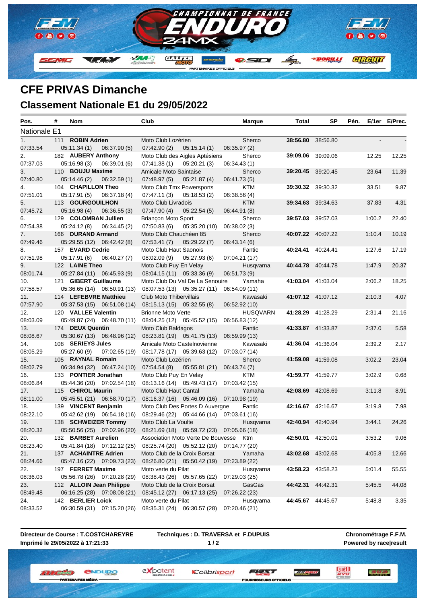

## **CFE PRIVAS Dimanche Classement Nationale E1 du 29/05/2022**

| Pos.           | # | Nom                      |                             | Club                         |                                           | <b>Marque</b>   | Total | SP                       | Pén. |        | E/1er E/Prec. |
|----------------|---|--------------------------|-----------------------------|------------------------------|-------------------------------------------|-----------------|-------|--------------------------|------|--------|---------------|
| Nationale E1   |   |                          |                             |                              |                                           |                 |       |                          |      |        |               |
| 1 <sub>1</sub> |   | 111 ROBIN Adrien         |                             | Moto Club Lozérien           |                                           | Sherco          |       | 38:56.80 38:56.80        |      |        |               |
| 07:33.54       |   | 05:11.34(1)              | 06:37.90(5)                 | 07:42.90(2)                  | 05:15.14(1)                               | 06:35.97(2)     |       |                          |      |        |               |
| 2.             |   | 182 AUBERY Anthony       |                             |                              | Moto Club des Aigles Aptésiens            | Sherco          |       | <b>39:09.06</b> 39:09.06 |      | 12.25  | 12.25         |
| 07:37.03       |   | 05:16.98(3)              | 06:39.01(6)                 | 07:41.38(1)                  | 05:20.21(3)                               | 06:34.43(1)     |       |                          |      |        |               |
| 3.             |   | 110 BOUJU Maxime         |                             | Amicale Moto Saintaise       |                                           | Sherco          |       | <b>39:20.45</b> 39:20.45 |      | 23.64  | 11.39         |
| 07:40.80       |   | 05:14.46(2)              | 06:32.59(1)                 | 07:48.97(5)                  | 05:21.87(4)                               | 06:41.73 (5)    |       |                          |      |        |               |
| 4.             |   | 104 CHAPILLON Theo       |                             | Moto Club Tmx Powersports    |                                           | KTM             |       | <b>39:30.32</b> 39:30.32 |      | 33.51  | 9.87          |
| 07:51.01       |   | 05:17.91(5)              | 06:37.18(4)                 | 07:47.11(3)                  | 05:18.53(2)                               | 06:38.56(4)     |       |                          |      |        |               |
| 5.             |   | 113 GOURGOUILHON         |                             | Moto Club Livradois          |                                           | <b>KTM</b>      |       | 39:34.63 39:34.63        |      | 37.83  | 4.31          |
| 07:45.72       |   | 05:16.98(4)              | 06:36.55(3)                 | 07:47.90 (4)                 | 05:22.54(5)                               | 06:44.91 (8)    |       |                          |      |        |               |
| 6.             |   | 129 COLOMBAN Jullien     |                             | Briançon Moto Sport          |                                           | Sherco          |       | 39:57.03 39:57.03        |      | 1:00.2 | 22.40         |
| 07:54.38       |   | 05:24.12(8)              | 06:34.45(2)                 | 07:50.83 (6)                 | 05:35.20 (10)                             | 06:38.02 (3)    |       |                          |      |        |               |
| 7.             |   | 166 DURAND Armand        |                             | Moto Club Chauchéen 85       |                                           | Sherco          |       | 40:07.22 40:07.22        |      | 1:10.4 | 10.19         |
| 07:49.46       |   |                          | 05:29.55 (12) 06:42.42 (8)  | 07:53.41(7)                  | 05:29.22(7)                               | 06:43.14(6)     |       |                          |      |        |               |
| 8.             |   | 157 EVARD Cedric         |                             | Moto Club Haut Saonois       |                                           | Fantic          |       | 40:24.41 40:24.41        |      | 1:27.6 | 17.19         |
| 07:51.98       |   | 05:17.91 (6)             | 06:40.27 (7)                | 08:02.09 (9)                 | 05:27.93(6)                               | 07:04.21 (17)   |       |                          |      |        |               |
| 9.             |   | 122 LAINE Theo           |                             | Moto Club Puy En Velay       |                                           | Husqvarna       |       | 40:44.78 40:44.78        |      | 1:47.9 | 20.37         |
| 08:01.74       |   |                          | 05:27.84 (11) 06:45.93 (9)  | 08:04.15 (11) 05:33.36 (9)   |                                           | 06:51.73 (9)    |       |                          |      |        |               |
| 10.            |   | 121 GIBERT Guillaume     |                             |                              | Moto Club Du Val De La Senouire           | Yamaha          |       | 41:03.04 41:03.04        |      | 2:06.2 | 18.25         |
| 07:58.57       |   |                          | 05:36.65 (14) 06:50.91 (13) |                              | 08:07.53 (13) 05:35.27 (11)               | 06:54.09 (11)   |       |                          |      |        |               |
| 11.            |   | 114 LEFEBVRE Matthieu    |                             | Club Moto Thibervillais      |                                           | Kawasaki        |       | 41:07.12 41:07.12        |      | 2:10.3 | 4.07          |
| 07:57.90       |   |                          | 05:37.53 (15) 06:51.08 (14) | 08:15.13 (15) 05:32.55 (8)   |                                           | 06:52.92 (10)   |       |                          |      |        |               |
| 12.            |   | 120 VALLEE Valentin      |                             | <b>Brionne Moto Verte</b>    |                                           | <b>HUSQVARN</b> |       | 41:28.29 41:28.29        |      | 2:31.4 | 21.16         |
| 08:03.09       |   |                          | 05:49.87 (24) 06:48.70 (11) |                              | 08:04.25 (12) 05:45.52 (15)               | 06:56.83 (12)   |       |                          |      |        |               |
| 13.            |   | 174 DEUX Quentin         |                             | Moto Club Baldagos           |                                           | Fantic          |       | 41:33.87 41:33.87        |      | 2:37.0 | 5.58          |
| 08:08.67       |   |                          | 05:30.67 (13) 06:48.96 (12) |                              | 08:23.81 (19) 05:41.75 (13)               | 06:59.99 (13)   |       |                          |      |        |               |
| 14.            |   | 108 SERIEYS Jules        |                             | Amicale Moto Castelnovienne  |                                           | Kawasaki        |       | 41:36.04 41:36.04        |      | 2:39.2 | 2.17          |
| 08:05.29       |   | 05:27.60(9)              | 07:02.65(19)                |                              | 08:17.78 (17) 05:39.63 (12)               | 07:03.07 (14)   |       |                          |      |        |               |
| 15.            |   | 105 RAYNAL Romain        |                             | Moto Club Lozérien           |                                           | Sherco          |       | 41:59.08 41:59.08        |      | 3:02.2 | 23.04         |
| 08:02.79       |   |                          | 06:34.94 (32) 06:47.24 (10) | 07:54.54(8)                  | 05:55.81 (21)                             | 06:43.74 (7)    |       |                          |      |        |               |
| 16.            |   | 133 PONTIER Jonathan     |                             | Moto Club Puy En Velay       |                                           | KTM             |       | 41:59.77 41:59.77        |      | 3:02.9 | 0.68          |
| 08:06.84       |   |                          | 05:44.36 (20) 07:02.54 (18) |                              | 08:13.16 (14) 05:49.43 (17) 07:03.42 (15) |                 |       |                          |      |        |               |
| 17.            |   | 115 CHIROL Maurin        |                             | Moto Club Haut Cantal        |                                           | Yamaha          |       | 42:08.69 42:08.69        |      | 3:11.8 | 8.91          |
| 08:11.00       |   |                          | 05:45.51 (21) 06:58.70 (17) |                              | 08:16.37 (16) 05:46.09 (16) 07:10.98 (19) |                 |       |                          |      |        |               |
| 18.            |   | 139 VINCENT Benjamin     |                             |                              | Moto Club Des Portes D Auvergne           | Fantic          |       | 42:16.67 42:16.67        |      | 3:19.8 | 7.98          |
| 08:22.10       |   |                          | 05:42.62 (19) 06:54.18 (16) |                              | 08:29.46 (22) 05:44.66 (14) 07:03.61 (16) |                 |       |                          |      |        |               |
| 19.            |   | 138 SCHWEIZER Tommy      |                             | Moto Club La Voulte          |                                           | Husqvarna       |       | 42:40.94 42:40.94        |      | 3.44.1 | 24.26         |
| 08:20.32       |   |                          | 05:50.56 (25) 07:02.96 (20) |                              | 08:21.69 (18) 05:59.72 (23) 07:05.66 (18) |                 |       |                          |      |        |               |
| 20.            |   |                          | 132 BARBET Aurelien         |                              | Association Moto Verte De Bouvesse Ktm    |                 |       | 42:50.01 42:50.01        |      | 3:53.2 | 9.06          |
| 08:23.40       |   |                          | 05:41.84 (18) 07:12.12 (25) |                              | 08:25.74 (20) 05:52.12 (20) 07:14.77 (20) |                 |       |                          |      |        |               |
| 21.            |   | 137 ACHAINTRE Adrien     |                             | Moto Club de la Croix Borsat |                                           | Yamaha          |       | 43:02.68 43:02.68        |      | 4:05.8 | 12.66         |
| 08:24.66       |   |                          | 05:47.16 (22) 07:09.73 (23) |                              | 08:26.80 (21) 05:50.42 (19)               | 07:23.89 (22)   |       |                          |      |        |               |
| 22.            |   | 197 FERRET Maxime        |                             | Moto verte du Pilat          |                                           | Husqvarna       |       | 43:58.23 43:58.23        |      | 5:01.4 | 55.55         |
| 08:36.03       |   |                          | 05:56.78 (26) 07:20.28 (29) |                              | 08:38.43 (26) 05:57.65 (22)               | 07:29.03 (25)   |       |                          |      |        |               |
| 23.            |   | 112 ALLOIN Jean Philippe |                             | Moto Club de la Croix Borsat |                                           | GasGas          |       | 44:42.31 44:42.31        |      | 5:45.5 | 44.08         |
| 08:49.48       |   |                          | 06:16.25 (28) 07:08.08 (21) |                              | 08:45.12 (27) 06:17.13 (25)               | 07:26.22 (23)   |       |                          |      |        |               |
| 24.            |   | 142 BERLIER Loick        |                             | Moto verte du Pilat          |                                           | Husqvarna       |       | 44:45.67 44:45.67        |      | 5:48.8 | 3.35          |
| 08:33.52       |   |                          | 06:30.59 (31) 07:15.20 (26) |                              | 08:35.31 (24) 06:30.57 (28)               | 07:20.46 (21)   |       |                          |      |        |               |

**Directeur de Course : T.COSTCHAREYRE Imprimé le 29/05/2022 à 17:21:33**

**IBTEM** 

**Techniques : D. TRAVERSA et F.DUPUIS 1 / 2**

**Chronométrage F.F.M. Powered by race|result**

*<u>ENDURO</u>* **W. W. L. Antipolis C.** 

ES MÉDIA

Colibrisport

expotent

**SEURS OFFICE** 

FEAT

**TELEVISIO** 

三方學學